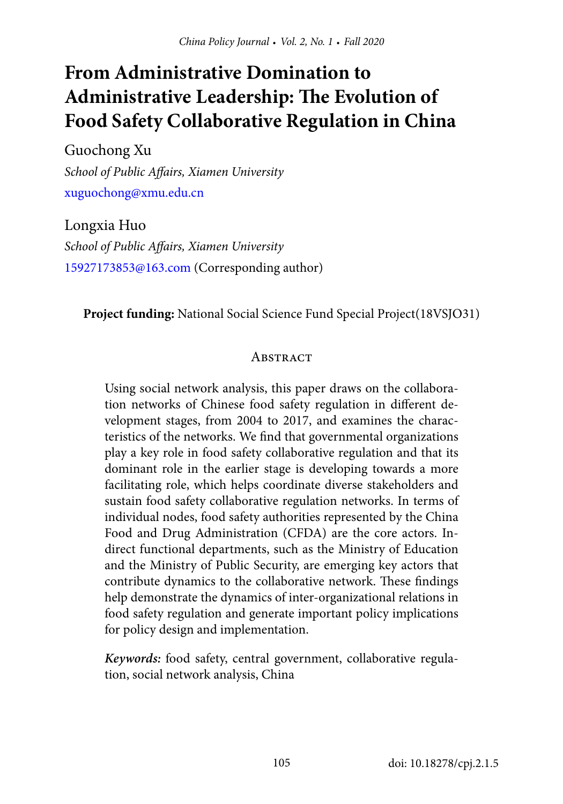# **From Administrative Domination to Administrative Leadership: The Evolution of Food Safety Collaborative Regulation in China**

Guochong Xu *School of Public Affairs, Xiamen University* [xuguochong@xmu.edu.cn](mailto:xuguochong%40xmu.edu.cn?subject=)

Longxia Huo *School of Public Affairs, Xiamen University* [15927173853@163.com](mailto:15927173853%40163.com?subject=) (Corresponding author)

**Project funding:** National Social Science Fund Special Project(18VSJO31)

#### **ABSTRACT**

Using social network analysis, this paper draws on the collaboration networks of Chinese food safety regulation in different development stages, from 2004 to 2017, and examines the characteristics of the networks. We find that governmental organizations play a key role in food safety collaborative regulation and that its dominant role in the earlier stage is developing towards a more facilitating role, which helps coordinate diverse stakeholders and sustain food safety collaborative regulation networks. In terms of individual nodes, food safety authorities represented by the China Food and Drug Administration (CFDA) are the core actors. Indirect functional departments, such as the Ministry of Education and the Ministry of Public Security, are emerging key actors that contribute dynamics to the collaborative network. These findings help demonstrate the dynamics of inter-organizational relations in food safety regulation and generate important policy implications for policy design and implementation.

*Keywords:* food safety, central government, collaborative regulation, social network analysis, China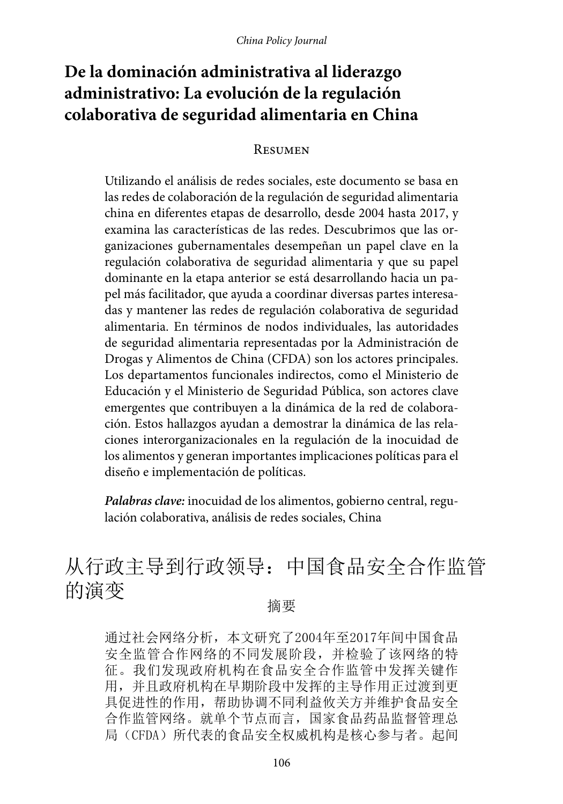# **De la dominación administrativa al liderazgo administrativo: La evolución de la regulación colaborativa de seguridad alimentaria en China**

#### Resumen

Utilizando el análisis de redes sociales, este documento se basa en las redes de colaboración de la regulación de seguridad alimentaria china en diferentes etapas de desarrollo, desde 2004 hasta 2017, y examina las características de las redes. Descubrimos que las organizaciones gubernamentales desempeñan un papel clave en la regulación colaborativa de seguridad alimentaria y que su papel dominante en la etapa anterior se está desarrollando hacia un papel más facilitador, que ayuda a coordinar diversas partes interesadas y mantener las redes de regulación colaborativa de seguridad alimentaria. En términos de nodos individuales, las autoridades de seguridad alimentaria representadas por la Administración de Drogas y Alimentos de China (CFDA) son los actores principales. Los departamentos funcionales indirectos, como el Ministerio de Educación y el Ministerio de Seguridad Pública, son actores clave emergentes que contribuyen a la dinámica de la red de colaboración. Estos hallazgos ayudan a demostrar la dinámica de las relaciones interorganizacionales en la regulación de la inocuidad de los alimentos y generan importantes implicaciones políticas para el diseño e implementación de políticas.

*Palabras clave:* inocuidad de los alimentos, gobierno central, regulación colaborativa, análisis de redes sociales, China

# 从行政主导到行政领导:中国食品安全合作监管 的演变 <sub>摘要</sub>

通过社会网络分析,本文研究了2004年至2017年间中国食品 安全监管合作网络的不同发展阶段,并检验了该网络的特 征。我们发现政府机构在食品安全合作监管中发挥关键作 用,并且政府机构在早期阶段中发挥的主导作用正过渡到更 具促进性的作用,帮助协调不同利益攸关方并维护食品安全 合作监管网络。就单个节点而言,国家食品药品监督管理总 局(CFDA)所代表的食品安全权威机构是核心参与者。起间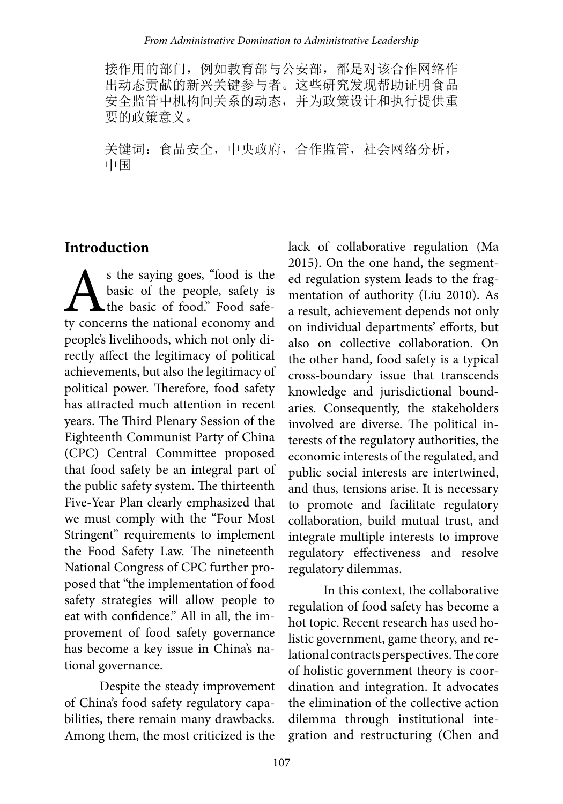接作用的部门,例如教育部与公安部,都是对该合作网络作 出动态贡献的新兴关键参与者。这些研究发现帮助证明食品 安全监管中机构间关系的动态,并为政策设计和执行提供重 要的政策意义。

关键词: 食品安全,中央政府,合作监管,社会网络分析, 中国

# **Introduction**

s the saying goes, "food is the<br>basic of the people, safety is<br>the basic of food." Food safe-<br>ty concerns the national economy and basic of the people, safety is **L**the basic of food." Food safety concerns the national economy and people's livelihoods, which not only directly affect the legitimacy of political achievements, but also the legitimacy of political power. Therefore, food safety has attracted much attention in recent years. The Third Plenary Session of the Eighteenth Communist Party of China (CPC) Central Committee proposed that food safety be an integral part of the public safety system. The thirteenth Five-Year Plan clearly emphasized that we must comply with the "Four Most Stringent" requirements to implement the Food Safety Law. The nineteenth National Congress of CPC further proposed that "the implementation of food safety strategies will allow people to eat with confidence." All in all, the improvement of food safety governance has become a key issue in China's national governance.

Despite the steady improvement of China's food safety regulatory capabilities, there remain many drawbacks. Among them, the most criticized is the

lack of collaborative regulation (Ma 2015). On the one hand, the segmented regulation system leads to the fragmentation of authority (Liu 2010). As a result, achievement depends not only on individual departments' efforts, but also on collective collaboration. On the other hand, food safety is a typical cross-boundary issue that transcends knowledge and jurisdictional boundaries. Consequently, the stakeholders involved are diverse. The political interests of the regulatory authorities, the economic interests of the regulated, and public social interests are intertwined, and thus, tensions arise. It is necessary to promote and facilitate regulatory collaboration, build mutual trust, and integrate multiple interests to improve regulatory effectiveness and resolve regulatory dilemmas.

In this context, the collaborative regulation of food safety has become a hot topic. Recent research has used holistic government, game theory, and relational contracts perspectives. The core of holistic government theory is coordination and integration. It advocates the elimination of the collective action dilemma through institutional integration and restructuring (Chen and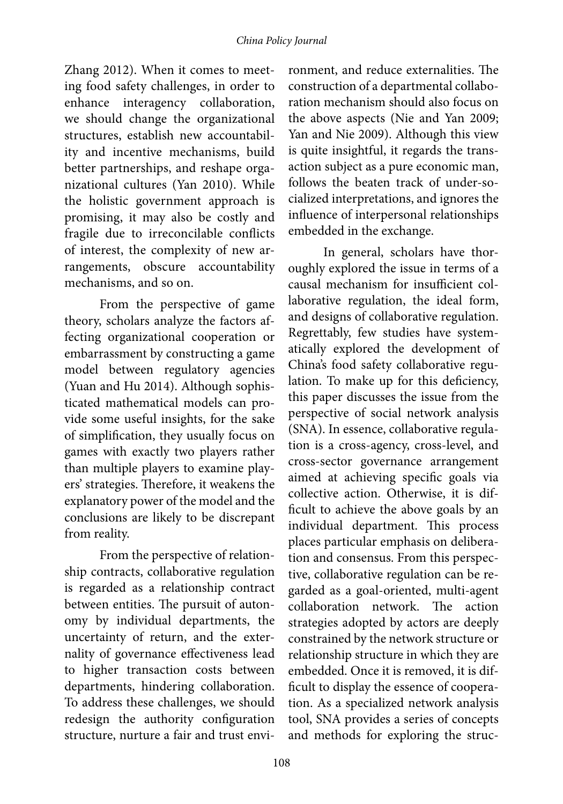Zhang 2012). When it comes to meeting food safety challenges, in order to enhance interagency collaboration, we should change the organizational structures, establish new accountability and incentive mechanisms, build better partnerships, and reshape organizational cultures (Yan 2010). While the holistic government approach is promising, it may also be costly and fragile due to irreconcilable conflicts of interest, the complexity of new arrangements, obscure accountability mechanisms, and so on.

From the perspective of game theory, scholars analyze the factors affecting organizational cooperation or embarrassment by constructing a game model between regulatory agencies (Yuan and Hu 2014). Although sophisticated mathematical models can provide some useful insights, for the sake of simplification, they usually focus on games with exactly two players rather than multiple players to examine players' strategies. Therefore, it weakens the explanatory power of the model and the conclusions are likely to be discrepant from reality.

From the perspective of relationship contracts, collaborative regulation is regarded as a relationship contract between entities. The pursuit of autonomy by individual departments, the uncertainty of return, and the externality of governance effectiveness lead to higher transaction costs between departments, hindering collaboration. To address these challenges, we should redesign the authority configuration structure, nurture a fair and trust envi-

ronment, and reduce externalities. The construction of a departmental collaboration mechanism should also focus on the above aspects (Nie and Yan 2009; Yan and Nie 2009). Although this view is quite insightful, it regards the transaction subject as a pure economic man, follows the beaten track of under-socialized interpretations, and ignores the influence of interpersonal relationships embedded in the exchange.

In general, scholars have thoroughly explored the issue in terms of a causal mechanism for insufficient collaborative regulation, the ideal form, and designs of collaborative regulation. Regrettably, few studies have systematically explored the development of China's food safety collaborative regulation. To make up for this deficiency, this paper discusses the issue from the perspective of social network analysis (SNA). In essence, collaborative regulation is a cross-agency, cross-level, and cross-sector governance arrangement aimed at achieving specific goals via collective action. Otherwise, it is difficult to achieve the above goals by an individual department. This process places particular emphasis on deliberation and consensus. From this perspective, collaborative regulation can be regarded as a goal-oriented, multi-agent collaboration network. The action strategies adopted by actors are deeply constrained by the network structure or relationship structure in which they are embedded. Once it is removed, it is difficult to display the essence of cooperation. As a specialized network analysis tool, SNA provides a series of concepts and methods for exploring the struc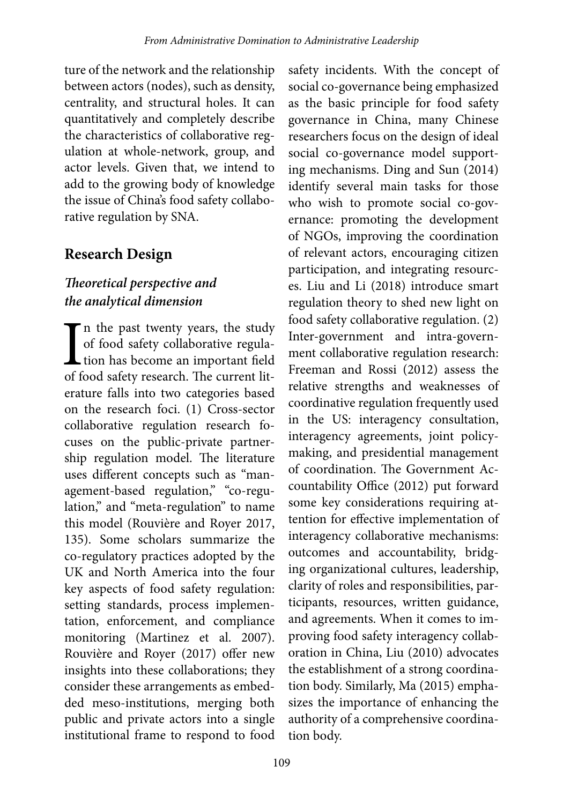ture of the network and the relationship between actors (nodes), such as density, centrality, and structural holes. It can quantitatively and completely describe the characteristics of collaborative regulation at whole-network, group, and actor levels. Given that, we intend to add to the growing body of knowledge the issue of China's food safety collaborative regulation by SNA.

# **Research Design**

# *Theoretical perspective and the analytical dimension*

I<br>of f The past twenty years, the study of food safety collaborative regulation has become an important field of food safety research. The current literature falls into two categories based on the research foci. (1) Cross-sector collaborative regulation research focuses on the public-private partnership regulation model. The literature uses different concepts such as "management-based regulation," "co-regulation," and "meta-regulation" to name this model (Rouvière and Royer 2017, 135). Some scholars summarize the co-regulatory practices adopted by the UK and North America into the four key aspects of food safety regulation: setting standards, process implementation, enforcement, and compliance monitoring (Martinez et al. 2007). Rouvière and Royer (2017) offer new insights into these collaborations; they consider these arrangements as embedded meso-institutions, merging both public and private actors into a single institutional frame to respond to food

safety incidents. With the concept of social co-governance being emphasized as the basic principle for food safety governance in China, many Chinese researchers focus on the design of ideal social co-governance model supporting mechanisms. Ding and Sun (2014) identify several main tasks for those who wish to promote social co-governance: promoting the development of NGOs, improving the coordination of relevant actors, encouraging citizen participation, and integrating resources. Liu and Li (2018) introduce smart regulation theory to shed new light on food safety collaborative regulation. (2) Inter-government and intra-government collaborative regulation research: Freeman and Rossi (2012) assess the relative strengths and weaknesses of coordinative regulation frequently used in the US: interagency consultation, interagency agreements, joint policymaking, and presidential management of coordination. The Government Accountability Office (2012) put forward some key considerations requiring attention for effective implementation of interagency collaborative mechanisms: outcomes and accountability, bridging organizational cultures, leadership, clarity of roles and responsibilities, participants, resources, written guidance, and agreements. When it comes to improving food safety interagency collaboration in China, Liu (2010) advocates the establishment of a strong coordination body. Similarly, Ma (2015) emphasizes the importance of enhancing the authority of a comprehensive coordination body.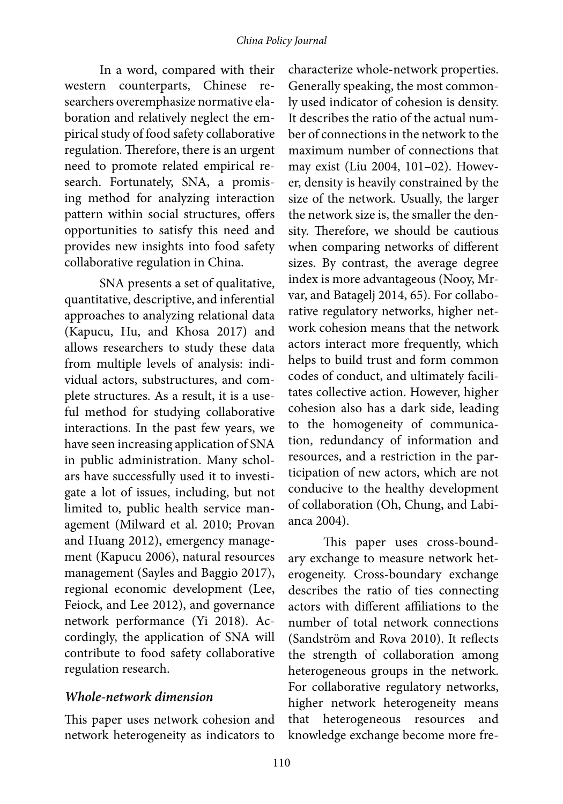In a word, compared with their western counterparts, Chinese researchers overemphasize normative elaboration and relatively neglect the empirical study of food safety collaborative regulation. Therefore, there is an urgent need to promote related empirical research. Fortunately, SNA, a promising method for analyzing interaction pattern within social structures, offers opportunities to satisfy this need and provides new insights into food safety collaborative regulation in China.

SNA presents a set of qualitative, quantitative, descriptive, and inferential approaches to analyzing relational data (Kapucu, Hu, and Khosa 2017) and allows researchers to study these data from multiple levels of analysis: individual actors, substructures, and complete structures. As a result, it is a useful method for studying collaborative interactions. In the past few years, we have seen increasing application of SNA in public administration. Many scholars have successfully used it to investigate a lot of issues, including, but not limited to, public health service management (Milward et al. 2010; Provan and Huang 2012), emergency management (Kapucu 2006), natural resources management (Sayles and Baggio 2017), regional economic development (Lee, Feiock, and Lee 2012), and governance network performance (Yi 2018). Accordingly, the application of SNA will contribute to food safety collaborative regulation research.

#### *Whole-network dimension*

This paper uses network cohesion and network heterogeneity as indicators to

characterize whole-network properties. Generally speaking, the most commonly used indicator of cohesion is density. It describes the ratio of the actual number of connections in the network to the maximum number of connections that may exist (Liu 2004, 101–02). However, density is heavily constrained by the size of the network. Usually, the larger the network size is, the smaller the density. Therefore, we should be cautious when comparing networks of different sizes. By contrast, the average degree index is more advantageous (Nooy, Mrvar, and Batagelj 2014, 65). For collaborative regulatory networks, higher network cohesion means that the network actors interact more frequently, which helps to build trust and form common codes of conduct, and ultimately facilitates collective action. However, higher cohesion also has a dark side, leading to the homogeneity of communication, redundancy of information and resources, and a restriction in the participation of new actors, which are not conducive to the healthy development of collaboration (Oh, Chung, and Labianca 2004).

This paper uses cross-boundary exchange to measure network heterogeneity. Cross-boundary exchange describes the ratio of ties connecting actors with different affiliations to the number of total network connections (Sandström and Rova 2010). It reflects the strength of collaboration among heterogeneous groups in the network. For collaborative regulatory networks, higher network heterogeneity means that heterogeneous resources and knowledge exchange become more fre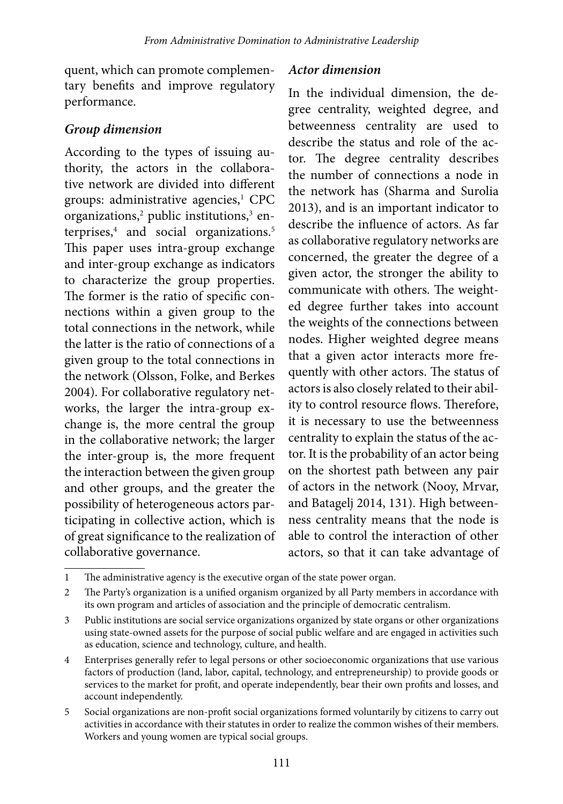quent, which can promote complementary benefits and improve regulatory performance.

#### *Group dimension*

According to the types of issuing authority, the actors in the collaborative network are divided into different groups: administrative agencies,<sup>1</sup> CPC organizations,<sup>2</sup> public institutions,<sup>3</sup> enterprises,<sup>4</sup> and social organizations.<sup>5</sup> This paper uses intra-group exchange and inter-group exchange as indicators to characterize the group properties. The former is the ratio of specific connections within a given group to the total connections in the network, while the latter is the ratio of connections of a given group to the total connections in the network (Olsson, Folke, and Berkes 2004). For collaborative regulatory networks, the larger the intra-group exchange is, the more central the group in the collaborative network; the larger the inter-group is, the more frequent the interaction between the given group and other groups, and the greater the possibility of heterogeneous actors participating in collective action, which is of great significance to the realization of collaborative governance.

#### *Actor dimension*

In the individual dimension, the degree centrality, weighted degree, and betweenness centrality are used to describe the status and role of the actor. The degree centrality describes the number of connections a node in the network has (Sharma and Surolia 2013), and is an important indicator to describe the influence of actors. As far as collaborative regulatory networks are concerned, the greater the degree of a given actor, the stronger the ability to communicate with others. The weighted degree further takes into account the weights of the connections between nodes. Higher weighted degree means that a given actor interacts more frequently with other actors. The status of actors is also closely related to their ability to control resource flows. Therefore, it is necessary to use the betweenness centrality to explain the status of the actor. It is the probability of an actor being on the shortest path between any pair of actors in the network (Nooy, Mrvar, and Batagelj 2014, 131). High betweenness centrality means that the node is able to control the interaction of other actors, so that it can take advantage of

<sup>1</sup> The administrative agency is the executive organ of the state power organ.

<sup>2</sup> The Party's organization is a unified organism organized by all Party members in accordance with its own program and articles of association and the principle of democratic centralism.

<sup>3</sup> Public institutions are social service organizations organized by state organs or other organizations using state-owned assets for the purpose of social public welfare and are engaged in activities such as education, science and technology, culture, and health.

<sup>4</sup> Enterprises generally refer to legal persons or other socioeconomic organizations that use various factors of production (land, labor, capital, technology, and entrepreneurship) to provide goods or services to the market for profit, and operate independently, bear their own profits and losses, and account independently.

<sup>5</sup> Social organizations are non-profit social organizations formed voluntarily by citizens to carry out activities in accordance with their statutes in order to realize the common wishes of their members. Workers and young women are typical social groups.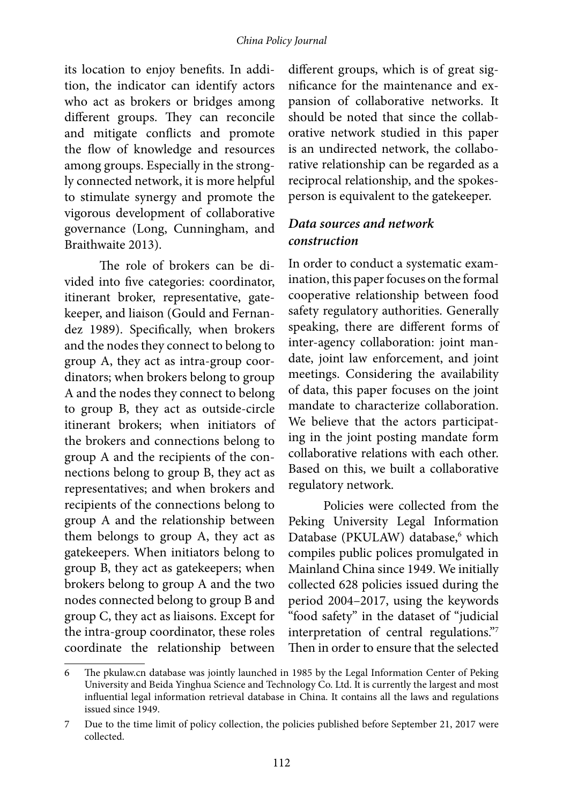#### *China Policy Journal*

its location to enjoy benefits. In addition, the indicator can identify actors who act as brokers or bridges among different groups. They can reconcile and mitigate conflicts and promote the flow of knowledge and resources among groups. Especially in the strongly connected network, it is more helpful to stimulate synergy and promote the vigorous development of collaborative governance (Long, Cunningham, and Braithwaite 2013).

The role of brokers can be divided into five categories: coordinator, itinerant broker, representative, gatekeeper, and liaison (Gould and Fernandez 1989). Specifically, when brokers and the nodes they connect to belong to group A, they act as intra-group coordinators; when brokers belong to group A and the nodes they connect to belong to group B, they act as outside-circle itinerant brokers; when initiators of the brokers and connections belong to group A and the recipients of the connections belong to group B, they act as representatives; and when brokers and recipients of the connections belong to group A and the relationship between them belongs to group A, they act as gatekeepers. When initiators belong to group B, they act as gatekeepers; when brokers belong to group A and the two nodes connected belong to group B and group C, they act as liaisons. Except for the intra-group coordinator, these roles coordinate the relationship between

different groups, which is of great significance for the maintenance and expansion of collaborative networks. It should be noted that since the collaborative network studied in this paper is an undirected network, the collaborative relationship can be regarded as a reciprocal relationship, and the spokesperson is equivalent to the gatekeeper.

### *Data sources and network construction*

In order to conduct a systematic examination, this paper focuses on the formal cooperative relationship between food safety regulatory authorities. Generally speaking, there are different forms of inter-agency collaboration: joint mandate, joint law enforcement, and joint meetings. Considering the availability of data, this paper focuses on the joint mandate to characterize collaboration. We believe that the actors participating in the joint posting mandate form collaborative relations with each other. Based on this, we built a collaborative regulatory network.

Policies were collected from the Peking University Legal Information Database (PKULAW) database,<sup>6</sup> which compiles public polices promulgated in Mainland China since 1949. We initially collected 628 policies issued during the period 2004–2017, using the keywords "food safety" in the dataset of "judicial interpretation of central regulations."7 Then in order to ensure that the selected

<sup>6</sup> The pkulaw.cn database was jointly launched in 1985 by the Legal Information Center of Peking University and Beida Yinghua Science and Technology Co. Ltd. It is currently the largest and most influential legal information retrieval database in China. It contains all the laws and regulations issued since 1949.

<sup>7</sup> Due to the time limit of policy collection, the policies published before September 21, 2017 were collected.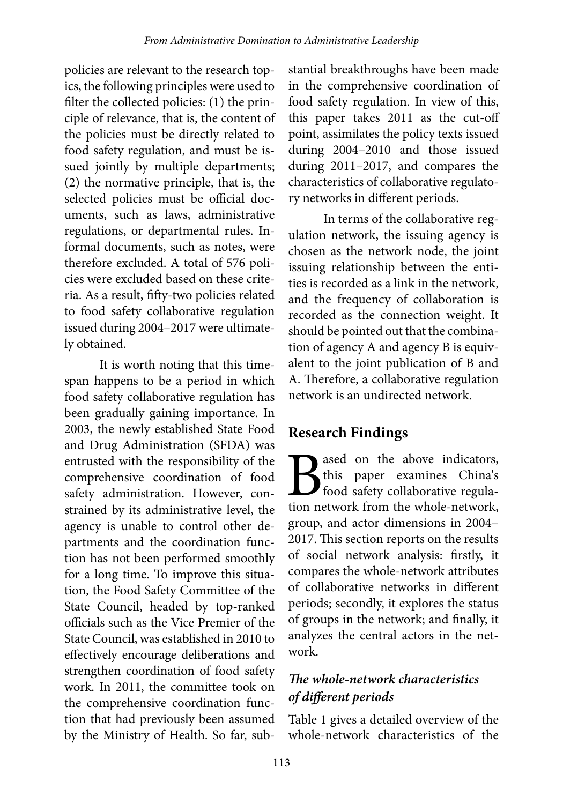policies are relevant to the research topics, the following principles were used to filter the collected policies: (1) the principle of relevance, that is, the content of the policies must be directly related to food safety regulation, and must be issued jointly by multiple departments; (2) the normative principle, that is, the selected policies must be official documents, such as laws, administrative regulations, or departmental rules. Informal documents, such as notes, were therefore excluded. A total of 576 policies were excluded based on these criteria. As a result, fifty-two policies related to food safety collaborative regulation issued during 2004–2017 were ultimately obtained.

It is worth noting that this timespan happens to be a period in which food safety collaborative regulation has been gradually gaining importance. In 2003, the newly established State Food and Drug Administration (SFDA) was entrusted with the responsibility of the comprehensive coordination of food safety administration. However, constrained by its administrative level, the agency is unable to control other departments and the coordination function has not been performed smoothly for a long time. To improve this situation, the Food Safety Committee of the State Council, headed by top-ranked officials such as the Vice Premier of the State Council, was established in 2010 to effectively encourage deliberations and strengthen coordination of food safety work. In 2011, the committee took on the comprehensive coordination function that had previously been assumed by the Ministry of Health. So far, sub-

stantial breakthroughs have been made in the comprehensive coordination of food safety regulation. In view of this, this paper takes 2011 as the cut-off point, assimilates the policy texts issued during 2004–2010 and those issued during 2011–2017, and compares the characteristics of collaborative regulatory networks in different periods.

In terms of the collaborative regulation network, the issuing agency is chosen as the network node, the joint issuing relationship between the entities is recorded as a link in the network, and the frequency of collaboration is recorded as the connection weight. It should be pointed out that the combination of agency A and agency B is equivalent to the joint publication of B and A. Therefore, a collaborative regulation network is an undirected network.

# **Research Findings**

**B**ased on the above indicators,<br>this paper examines China's<br>food safety collaborative regula-<br>tion network from the whole-network, this paper examines China's food safety collaborative regulation network from the whole-network, group, and actor dimensions in 2004– 2017. This section reports on the results of social network analysis: firstly, it compares the whole-network attributes of collaborative networks in different periods; secondly, it explores the status of groups in the network; and finally, it analyzes the central actors in the network.

# *The whole-network characteristics of different periods*

Table 1 gives a detailed overview of the whole-network characteristics of the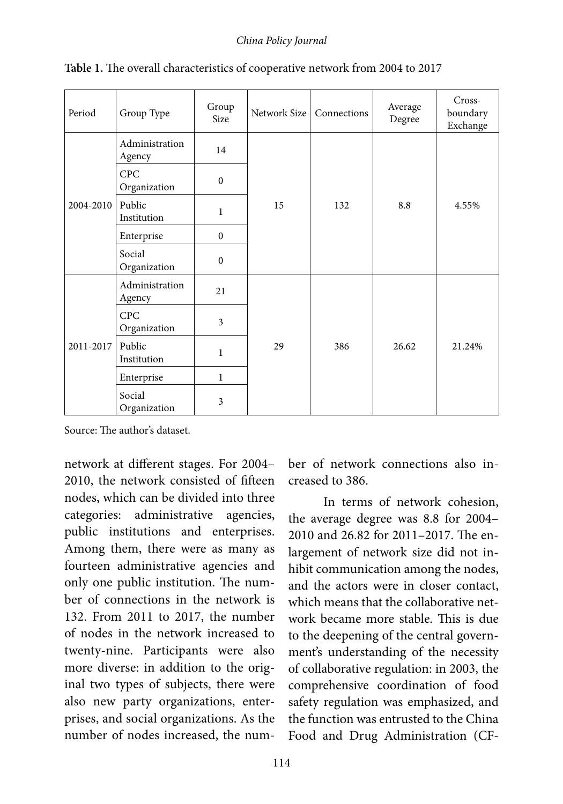#### *China Policy Journal*

| Period    | Group Type                 | Group<br>Size | Network Size | Connections | Average<br>Degree | Cross-<br>boundary<br>Exchange |
|-----------|----------------------------|---------------|--------------|-------------|-------------------|--------------------------------|
|           | Administration<br>Agency   | 14            |              | 132         | 8.8               | 4.55%                          |
| 2004-2010 | CPC<br>Organization        | $\mathbf{0}$  |              |             |                   |                                |
|           | Public<br>Institution      | $\mathbf{1}$  | 15           |             |                   |                                |
|           | Enterprise                 | $\mathbf{0}$  |              |             |                   |                                |
|           | Social<br>Organization     | $\mathbf{0}$  |              |             |                   |                                |
| 2011-2017 | Administration<br>Agency   | 21            |              | 386         | 26.62             | 21.24%                         |
|           | <b>CPC</b><br>Organization | 3             |              |             |                   |                                |
|           | Public<br>Institution      | $\mathbf{1}$  | 29           |             |                   |                                |
|           | Enterprise                 | $\mathbf{1}$  |              |             |                   |                                |
|           | Social<br>Organization     | 3             |              |             |                   |                                |

**Table 1.** The overall characteristics of cooperative network from 2004 to 2017

Source: The author's dataset.

network at different stages. For 2004– 2010, the network consisted of fifteen nodes, which can be divided into three categories: administrative agencies, public institutions and enterprises. Among them, there were as many as fourteen administrative agencies and only one public institution. The number of connections in the network is 132. From 2011 to 2017, the number of nodes in the network increased to twenty-nine. Participants were also more diverse: in addition to the original two types of subjects, there were also new party organizations, enterprises, and social organizations. As the number of nodes increased, the number of network connections also increased to 386.

In terms of network cohesion, the average degree was 8.8 for 2004– 2010 and 26.82 for 2011–2017. The enlargement of network size did not inhibit communication among the nodes, and the actors were in closer contact, which means that the collaborative network became more stable. This is due to the deepening of the central government's understanding of the necessity of collaborative regulation: in 2003, the comprehensive coordination of food safety regulation was emphasized, and the function was entrusted to the China Food and Drug Administration (CF-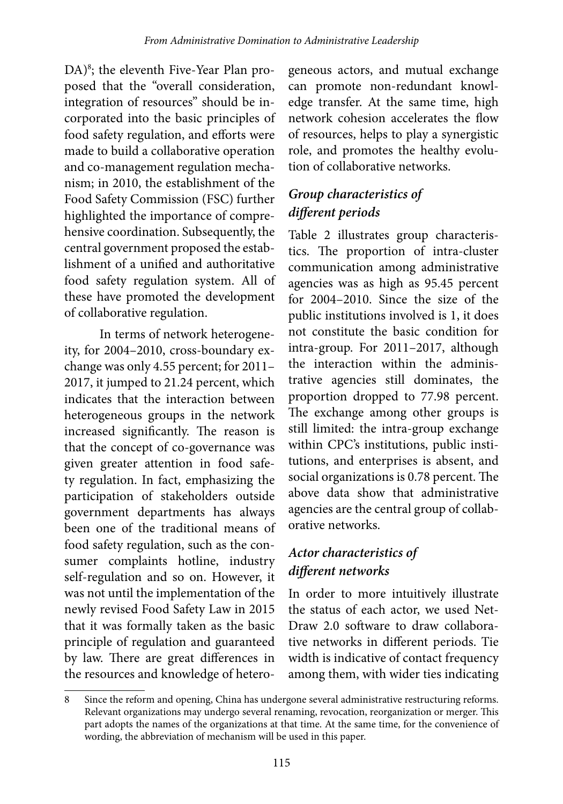DA)<sup>8</sup>; the eleventh Five-Year Plan proposed that the "overall consideration, integration of resources" should be incorporated into the basic principles of food safety regulation, and efforts were made to build a collaborative operation and co-management regulation mechanism; in 2010, the establishment of the Food Safety Commission (FSC) further highlighted the importance of comprehensive coordination. Subsequently, the central government proposed the establishment of a unified and authoritative food safety regulation system. All of these have promoted the development of collaborative regulation.

In terms of network heterogeneity, for 2004–2010, cross-boundary exchange was only 4.55 percent; for 2011– 2017, it jumped to 21.24 percent, which indicates that the interaction between heterogeneous groups in the network increased significantly. The reason is that the concept of co-governance was given greater attention in food safety regulation. In fact, emphasizing the participation of stakeholders outside government departments has always been one of the traditional means of food safety regulation, such as the consumer complaints hotline, industry self-regulation and so on. However, it was not until the implementation of the newly revised Food Safety Law in 2015 that it was formally taken as the basic principle of regulation and guaranteed by law. There are great differences in the resources and knowledge of hetero-

geneous actors, and mutual exchange can promote non-redundant knowledge transfer. At the same time, high network cohesion accelerates the flow of resources, helps to play a synergistic role, and promotes the healthy evolution of collaborative networks.

# *Group characteristics of different periods*

Table 2 illustrates group characteristics. The proportion of intra-cluster communication among administrative agencies was as high as 95.45 percent for 2004–2010. Since the size of the public institutions involved is 1, it does not constitute the basic condition for intra-group. For 2011–2017, although the interaction within the administrative agencies still dominates, the proportion dropped to 77.98 percent. The exchange among other groups is still limited: the intra-group exchange within CPC's institutions, public institutions, and enterprises is absent, and social organizations is 0.78 percent. The above data show that administrative agencies are the central group of collaborative networks.

# *Actor characteristics of different networks*

In order to more intuitively illustrate the status of each actor, we used Net-Draw 2.0 software to draw collaborative networks in different periods. Tie width is indicative of contact frequency among them, with wider ties indicating

<sup>8</sup> Since the reform and opening, China has undergone several administrative restructuring reforms. Relevant organizations may undergo several renaming, revocation, reorganization or merger. This part adopts the names of the organizations at that time. At the same time, for the convenience of wording, the abbreviation of mechanism will be used in this paper.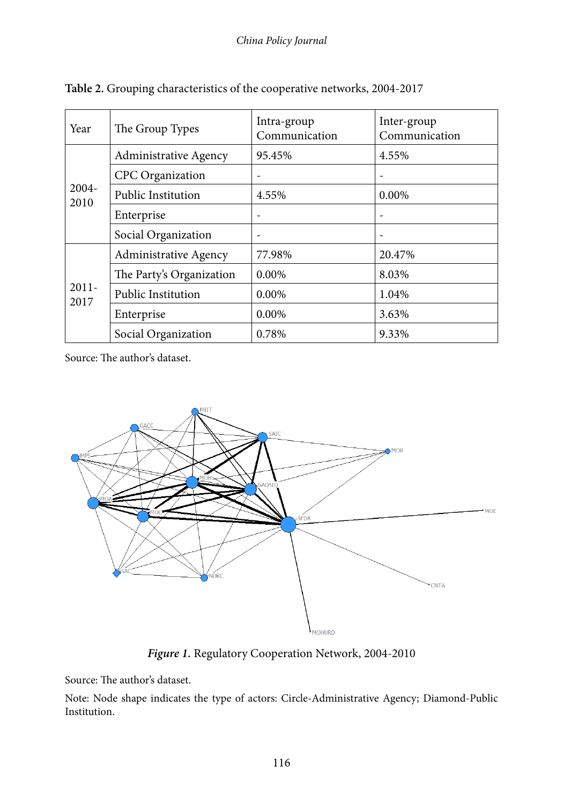| Year             | The Group Types              | Intra-group<br>Communication | Inter-group<br>Communication |  |
|------------------|------------------------------|------------------------------|------------------------------|--|
| 2004-<br>2010    | <b>Administrative Agency</b> | 95.45%                       | 4.55%                        |  |
|                  | <b>CPC</b> Organization      |                              |                              |  |
|                  | <b>Public Institution</b>    | 4.55%                        | 0.00%                        |  |
|                  | Enterprise                   | $\overline{\phantom{0}}$     |                              |  |
|                  | Social Organization          | $\overline{\phantom{a}}$     | $\overline{\phantom{a}}$     |  |
| $2011 -$<br>2017 | Administrative Agency        | 77.98%                       | 20.47%                       |  |
|                  | The Party's Organization     | $0.00\%$                     | 8.03%                        |  |
|                  | <b>Public Institution</b>    | 0.00%                        | 1.04%                        |  |
|                  | Enterprise                   | 0.00%                        | 3.63%                        |  |
|                  | Social Organization          | 0.78%                        | 9.33%                        |  |

**Table 2.** Grouping characteristics of the cooperative networks, 2004-2017



*Figure 1.* Regulatory Cooperation Network, 2004-2010

Source: The author's dataset.

Note: Node shape indicates the type of actors: Circle-Administrative Agency; Diamond-Public Institution.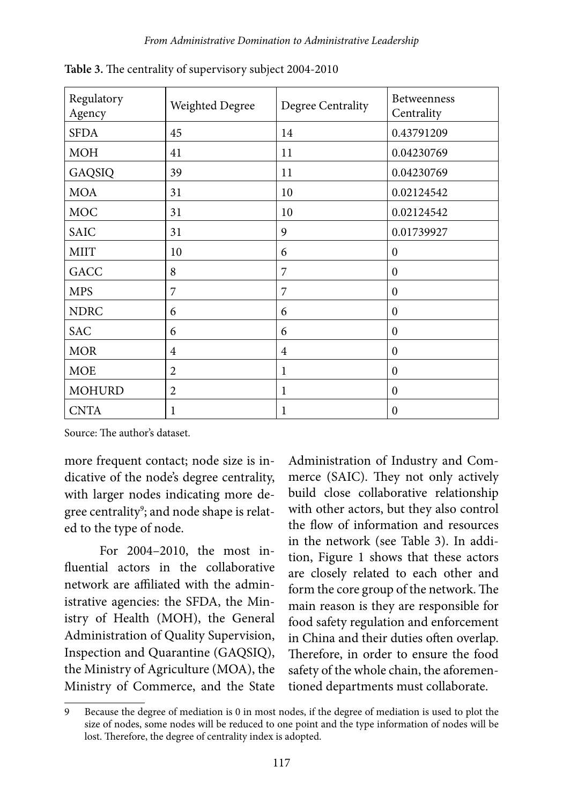| Regulatory<br>Agency | Weighted Degree | Degree Centrality | Betweenness<br>Centrality |
|----------------------|-----------------|-------------------|---------------------------|
| <b>SFDA</b>          | 45              | 14                | 0.43791209                |
| <b>MOH</b>           | 41              | 11                | 0.04230769                |
| GAQSIQ               | 39              | 11                | 0.04230769                |
| <b>MOA</b>           | 31              | 10                | 0.02124542                |
| <b>MOC</b>           | 31              | 10                | 0.02124542                |
| SAIC                 | 31              | 9                 | 0.01739927                |
| <b>MIIT</b>          | 10              | 6                 | $\Omega$                  |
| <b>GACC</b>          | 8               | $\overline{7}$    | $\Omega$                  |
| <b>MPS</b>           | 7               | 7                 | $\Omega$                  |
| <b>NDRC</b>          | 6               | 6                 | $\theta$                  |
| <b>SAC</b>           | 6               | 6                 | $\Omega$                  |
| <b>MOR</b>           | $\overline{4}$  | $\overline{4}$    | $\Omega$                  |
| <b>MOE</b>           | $\overline{2}$  | 1                 | $\Omega$                  |
| <b>MOHURD</b>        | $\overline{2}$  | 1                 | $\Omega$                  |
| <b>CNTA</b>          | 1               | 1                 | $\boldsymbol{0}$          |

**Table 3.** The centrality of supervisory subject 2004-2010

more frequent contact; node size is indicative of the node's degree centrality, with larger nodes indicating more degree centrality $9$ ; and node shape is related to the type of node.

For 2004–2010, the most influential actors in the collaborative network are affiliated with the administrative agencies: the SFDA, the Ministry of Health (MOH), the General Administration of Quality Supervision, Inspection and Quarantine (GAQSIQ), the Ministry of Agriculture (MOA), the Ministry of Commerce, and the State

Administration of Industry and Commerce (SAIC). They not only actively build close collaborative relationship with other actors, but they also control the flow of information and resources in the network (see Table 3). In addition, Figure 1 shows that these actors are closely related to each other and form the core group of the network. The main reason is they are responsible for food safety regulation and enforcement in China and their duties often overlap. Therefore, in order to ensure the food safety of the whole chain, the aforementioned departments must collaborate.

<sup>9</sup> Because the degree of mediation is 0 in most nodes, if the degree of mediation is used to plot the size of nodes, some nodes will be reduced to one point and the type information of nodes will be lost. Therefore, the degree of centrality index is adopted.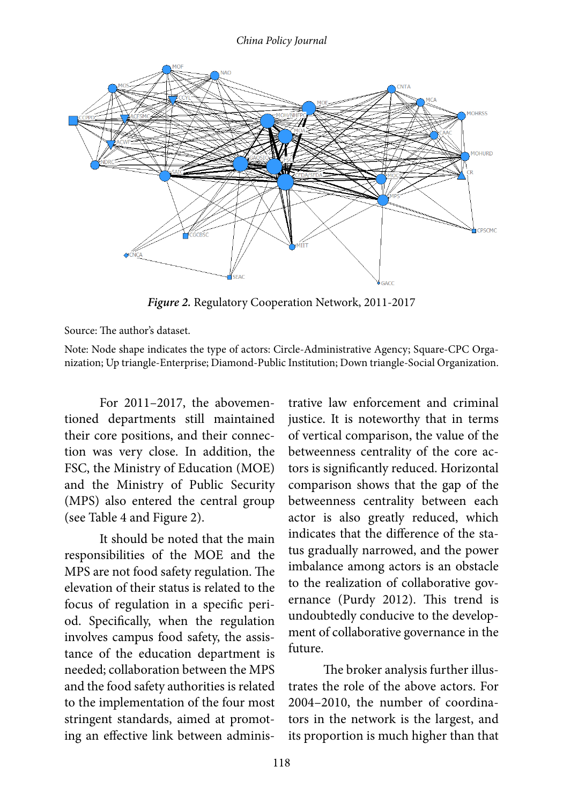

*Figure 2.* Regulatory Cooperation Network, 2011-2017

Note: Node shape indicates the type of actors: Circle-Administrative Agency; Square-CPC Organization; Up triangle-Enterprise; Diamond-Public Institution; Down triangle-Social Organization.

For 2011–2017, the abovementioned departments still maintained their core positions, and their connection was very close. In addition, the FSC, the Ministry of Education (MOE) and the Ministry of Public Security (MPS) also entered the central group (see Table 4 and Figure 2).

It should be noted that the main responsibilities of the MOE and the MPS are not food safety regulation. The elevation of their status is related to the focus of regulation in a specific period. Specifically, when the regulation involves campus food safety, the assistance of the education department is needed; collaboration between the MPS and the food safety authorities is related to the implementation of the four most stringent standards, aimed at promoting an effective link between adminis-

trative law enforcement and criminal justice. It is noteworthy that in terms of vertical comparison, the value of the betweenness centrality of the core actors is significantly reduced. Horizontal comparison shows that the gap of the betweenness centrality between each actor is also greatly reduced, which indicates that the difference of the status gradually narrowed, and the power imbalance among actors is an obstacle to the realization of collaborative governance (Purdy 2012). This trend is undoubtedly conducive to the development of collaborative governance in the future.

The broker analysis further illustrates the role of the above actors. For 2004–2010, the number of coordinators in the network is the largest, and its proportion is much higher than that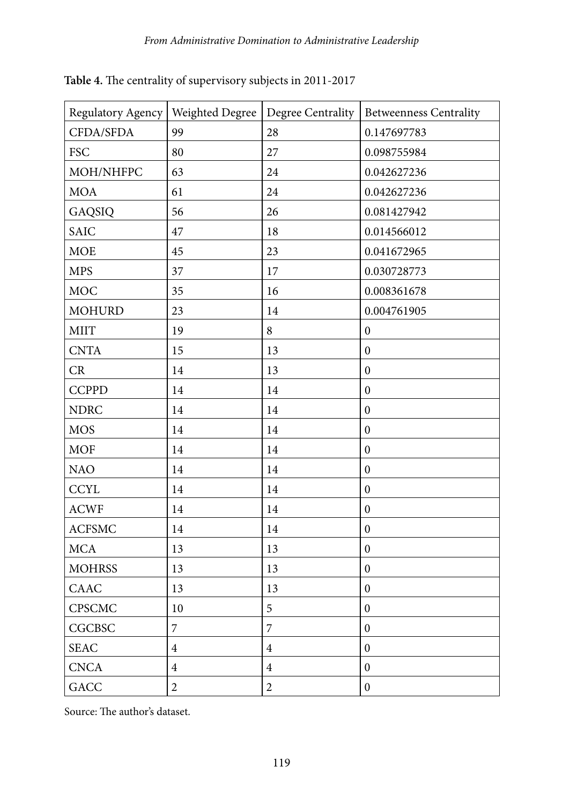| Regulatory Agency | Weighted Degree | Degree Centrality | <b>Betweenness Centrality</b> |
|-------------------|-----------------|-------------------|-------------------------------|
| CFDA/SFDA         | 99              | 28                | 0.147697783                   |
| <b>FSC</b>        | 80              | 27                | 0.098755984                   |
| MOH/NHFPC         | 63              | 24                | 0.042627236                   |
| <b>MOA</b>        | 61              | 24                | 0.042627236                   |
| GAQSIQ            | 56              | 26                | 0.081427942                   |
| <b>SAIC</b>       | 47              | 18                | 0.014566012                   |
| <b>MOE</b>        | 45              | 23                | 0.041672965                   |
| <b>MPS</b>        | 37              | 17                | 0.030728773                   |
| <b>MOC</b>        | 35              | 16                | 0.008361678                   |
| <b>MOHURD</b>     | 23              | 14                | 0.004761905                   |
| <b>MIIT</b>       | 19              | 8                 | $\boldsymbol{0}$              |
| <b>CNTA</b>       | 15              | 13                | $\boldsymbol{0}$              |
| CR                | 14              | 13                | $\boldsymbol{0}$              |
| <b>CCPPD</b>      | 14              | 14                | $\boldsymbol{0}$              |
| <b>NDRC</b>       | 14              | 14                | $\boldsymbol{0}$              |
| <b>MOS</b>        | 14              | 14                | $\boldsymbol{0}$              |
| <b>MOF</b>        | 14              | 14                | $\boldsymbol{0}$              |
| <b>NAO</b>        | 14              | 14                | $\boldsymbol{0}$              |
| <b>CCYL</b>       | 14              | 14                | $\boldsymbol{0}$              |
| <b>ACWF</b>       | 14              | 14                | $\boldsymbol{0}$              |
| <b>ACFSMC</b>     | 14              | 14                | $\boldsymbol{0}$              |
| <b>MCA</b>        | 13              | 13                | $\boldsymbol{0}$              |
| <b>MOHRSS</b>     | 13              | 13                | $\boldsymbol{0}$              |
| CAAC              | 13              | 13                | $\boldsymbol{0}$              |
| CPSCMC            | 10              | 5                 | $\boldsymbol{0}$              |
| <b>CGCBSC</b>     | $\overline{7}$  | 7                 | $\boldsymbol{0}$              |
| <b>SEAC</b>       | $\overline{4}$  | $\overline{4}$    | $\boldsymbol{0}$              |
| <b>CNCA</b>       | $\overline{4}$  | $\overline{4}$    | $\boldsymbol{0}$              |
| GACC              | $\overline{2}$  | $\overline{2}$    | $\boldsymbol{0}$              |

**Table 4.** The centrality of supervisory subjects in 2011-2017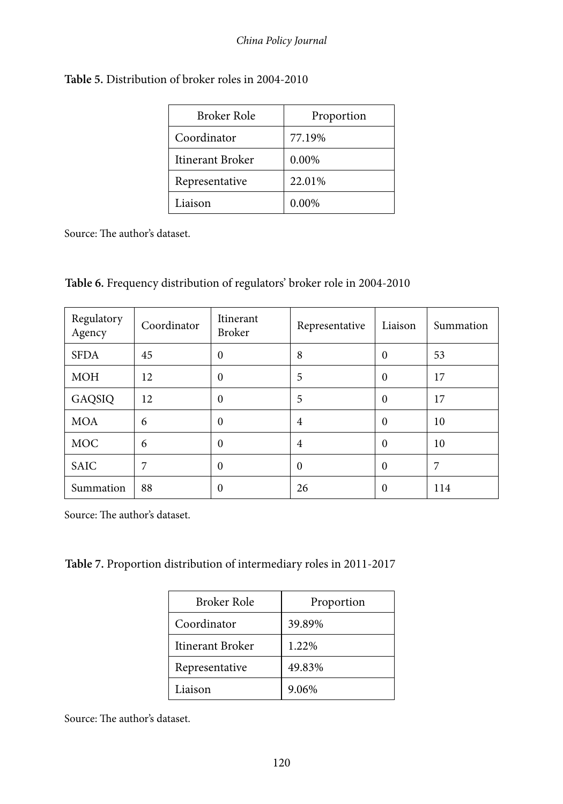| Broker Role      | Proportion |
|------------------|------------|
| Coordinator      | 77.19%     |
| Itinerant Broker | 0.00%      |
| Representative   | 22.01%     |
| Liaison          | $0.00\%$   |

|  |  | Table 6. Frequency distribution of regulators' broker role in 2004-2010 |
|--|--|-------------------------------------------------------------------------|
|--|--|-------------------------------------------------------------------------|

| Regulatory<br>Agency | Coordinator | Itinerant<br><b>Broker</b> | Representative | Liaison  | Summation |
|----------------------|-------------|----------------------------|----------------|----------|-----------|
| <b>SFDA</b>          | 45          | $\theta$                   | 8              | $\theta$ | 53        |
| <b>MOH</b>           | 12          | $\theta$                   | 5              | $\theta$ | 17        |
| GAQSIQ               | 12          | $\theta$                   | 5              | $\theta$ | 17        |
| <b>MOA</b>           | 6           | $\theta$                   | $\overline{4}$ | $\theta$ | 10        |
| <b>MOC</b>           | 6           | $\theta$                   | $\overline{4}$ | $\theta$ | 10        |
| SAIC                 | 7           | $\theta$                   | $\theta$       | $\theta$ | 7         |
| Summation            | 88          | $\theta$                   | 26             | $\Omega$ | 114       |

Source: The author's dataset.

**Table 7.** Proportion distribution of intermediary roles in 2011-2017

| Broker Role      | Proportion |  |  |
|------------------|------------|--|--|
| Coordinator      | 39.89%     |  |  |
| Itinerant Broker | 1.22%      |  |  |
| Representative   | 49.83%     |  |  |
| Liaison          | 9.06%      |  |  |

Source: The author's dataset.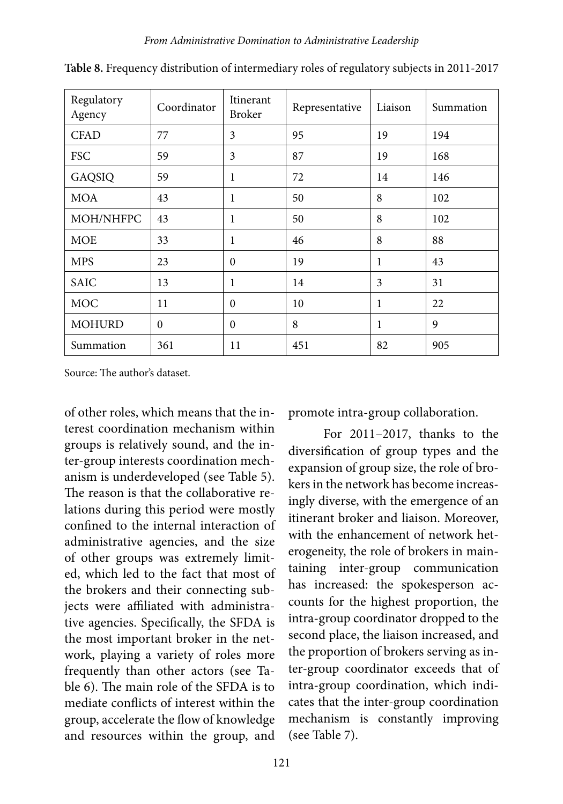| Regulatory<br>Agency | Coordinator | <b>Itinerant</b><br><b>Broker</b> | Representative | Liaison | Summation |
|----------------------|-------------|-----------------------------------|----------------|---------|-----------|
| <b>CFAD</b>          | 77          | 3                                 | 95             | 19      | 194       |
| <b>FSC</b>           | 59          | 3                                 | 87             | 19      | 168       |
| GAQSIQ               | 59          | 1                                 | 72             | 14      | 146       |
| <b>MOA</b>           | 43          | 1                                 | 50             | 8       | 102       |
| MOH/NHFPC            | 43          | 1                                 | 50             | 8       | 102       |
| <b>MOE</b>           | 33          | 1                                 | 46             | 8       | 88        |
| <b>MPS</b>           | 23          | $\theta$                          | 19             | 1       | 43        |
| SAIC                 | 13          | 1                                 | 14             | 3       | 31        |
| <b>MOC</b>           | 11          | $\theta$                          | 10             | 1       | 22        |
| <b>MOHURD</b>        | $\theta$    | $\Omega$                          | 8              | 1       | 9         |
| Summation            | 361         | 11                                | 451            | 82      | 905       |

**Table 8.** Frequency distribution of intermediary roles of regulatory subjects in 2011-2017

of other roles, which means that the interest coordination mechanism within groups is relatively sound, and the inter-group interests coordination mechanism is underdeveloped (see Table 5). The reason is that the collaborative relations during this period were mostly confined to the internal interaction of administrative agencies, and the size of other groups was extremely limited, which led to the fact that most of the brokers and their connecting subjects were affiliated with administrative agencies. Specifically, the SFDA is the most important broker in the network, playing a variety of roles more frequently than other actors (see Table 6). The main role of the SFDA is to mediate conflicts of interest within the group, accelerate the flow of knowledge and resources within the group, and

promote intra-group collaboration.

For 2011–2017, thanks to the diversification of group types and the expansion of group size, the role of brokers in the network has become increasingly diverse, with the emergence of an itinerant broker and liaison. Moreover, with the enhancement of network heterogeneity, the role of brokers in maintaining inter-group communication has increased: the spokesperson accounts for the highest proportion, the intra-group coordinator dropped to the second place, the liaison increased, and the proportion of brokers serving as inter-group coordinator exceeds that of intra-group coordination, which indicates that the inter-group coordination mechanism is constantly improving (see Table 7).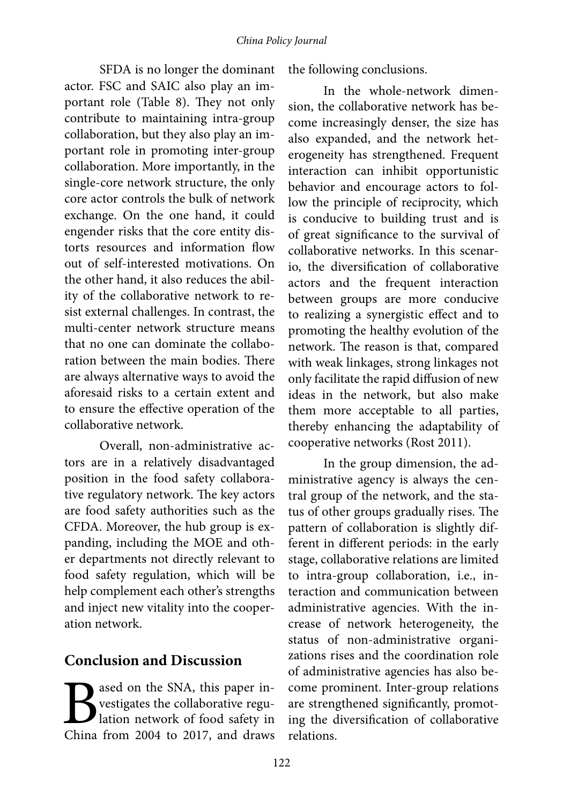SFDA is no longer the dominant actor. FSC and SAIC also play an important role (Table 8). They not only contribute to maintaining intra-group collaboration, but they also play an important role in promoting inter-group collaboration. More importantly, in the single-core network structure, the only core actor controls the bulk of network exchange. On the one hand, it could engender risks that the core entity distorts resources and information flow out of self-interested motivations. On the other hand, it also reduces the ability of the collaborative network to resist external challenges. In contrast, the multi-center network structure means that no one can dominate the collaboration between the main bodies. There are always alternative ways to avoid the aforesaid risks to a certain extent and to ensure the effective operation of the collaborative network.

Overall, non-administrative actors are in a relatively disadvantaged position in the food safety collaborative regulatory network. The key actors are food safety authorities such as the CFDA. Moreover, the hub group is expanding, including the MOE and other departments not directly relevant to food safety regulation, which will be help complement each other's strengths and inject new vitality into the cooperation network.

# **Conclusion and Discussion**

**B** ased on the SNA, this paper in-<br>vestigates the collaborative regulation network of food safety in<br>China from 2004 to 2017, and draws vestigates the collaborative regulation network of food safety in China from 2004 to 2017, and draws the following conclusions.

In the whole-network dimension, the collaborative network has become increasingly denser, the size has also expanded, and the network heterogeneity has strengthened. Frequent interaction can inhibit opportunistic behavior and encourage actors to follow the principle of reciprocity, which is conducive to building trust and is of great significance to the survival of collaborative networks. In this scenario, the diversification of collaborative actors and the frequent interaction between groups are more conducive to realizing a synergistic effect and to promoting the healthy evolution of the network. The reason is that, compared with weak linkages, strong linkages not only facilitate the rapid diffusion of new ideas in the network, but also make them more acceptable to all parties, thereby enhancing the adaptability of cooperative networks (Rost 2011).

In the group dimension, the administrative agency is always the central group of the network, and the status of other groups gradually rises. The pattern of collaboration is slightly different in different periods: in the early stage, collaborative relations are limited to intra-group collaboration, i.e., interaction and communication between administrative agencies. With the increase of network heterogeneity, the status of non-administrative organizations rises and the coordination role of administrative agencies has also become prominent. Inter-group relations are strengthened significantly, promoting the diversification of collaborative relations.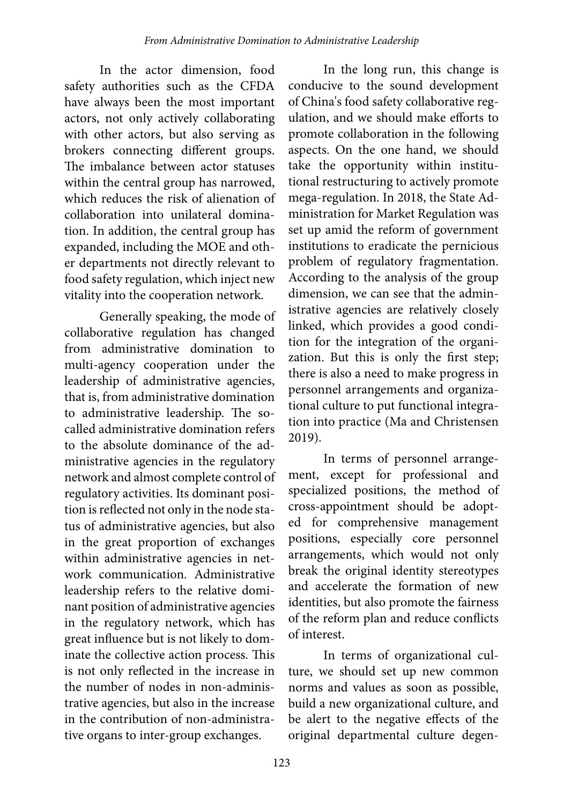In the actor dimension, food safety authorities such as the CFDA have always been the most important actors, not only actively collaborating with other actors, but also serving as brokers connecting different groups. The imbalance between actor statuses within the central group has narrowed, which reduces the risk of alienation of collaboration into unilateral domination. In addition, the central group has expanded, including the MOE and other departments not directly relevant to food safety regulation, which inject new vitality into the cooperation network.

Generally speaking, the mode of collaborative regulation has changed from administrative domination to multi-agency cooperation under the leadership of administrative agencies, that is, from administrative domination to administrative leadership. The socalled administrative domination refers to the absolute dominance of the administrative agencies in the regulatory network and almost complete control of regulatory activities. Its dominant position is reflected not only in the node status of administrative agencies, but also in the great proportion of exchanges within administrative agencies in network communication. Administrative leadership refers to the relative dominant position of administrative agencies in the regulatory network, which has great influence but is not likely to dominate the collective action process. This is not only reflected in the increase in the number of nodes in non-administrative agencies, but also in the increase in the contribution of non-administrative organs to inter-group exchanges.

In the long run, this change is conducive to the sound development of China's food safety collaborative regulation, and we should make efforts to promote collaboration in the following aspects. On the one hand, we should take the opportunity within institutional restructuring to actively promote mega-regulation. In 2018, the State Administration for Market Regulation was set up amid the reform of government institutions to eradicate the pernicious problem of regulatory fragmentation. According to the analysis of the group dimension, we can see that the administrative agencies are relatively closely linked, which provides a good condition for the integration of the organization. But this is only the first step; there is also a need to make progress in personnel arrangements and organizational culture to put functional integration into practice (Ma and Christensen 2019).

In terms of personnel arrangement, except for professional and specialized positions, the method of cross-appointment should be adopted for comprehensive management positions, especially core personnel arrangements, which would not only break the original identity stereotypes and accelerate the formation of new identities, but also promote the fairness of the reform plan and reduce conflicts of interest.

In terms of organizational culture, we should set up new common norms and values as soon as possible, build a new organizational culture, and be alert to the negative effects of the original departmental culture degen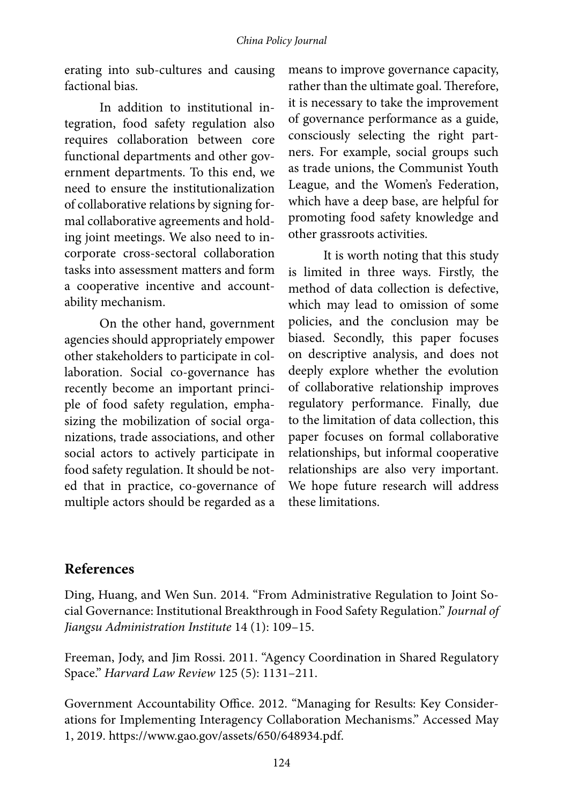erating into sub-cultures and causing factional bias.

In addition to institutional integration, food safety regulation also requires collaboration between core functional departments and other government departments. To this end, we need to ensure the institutionalization of collaborative relations by signing formal collaborative agreements and holding joint meetings. We also need to incorporate cross-sectoral collaboration tasks into assessment matters and form a cooperative incentive and accountability mechanism.

On the other hand, government agencies should appropriately empower other stakeholders to participate in collaboration. Social co-governance has recently become an important principle of food safety regulation, emphasizing the mobilization of social organizations, trade associations, and other social actors to actively participate in food safety regulation. It should be noted that in practice, co-governance of multiple actors should be regarded as a

means to improve governance capacity, rather than the ultimate goal. Therefore, it is necessary to take the improvement of governance performance as a guide, consciously selecting the right partners. For example, social groups such as trade unions, the Communist Youth League, and the Women's Federation, which have a deep base, are helpful for promoting food safety knowledge and other grassroots activities.

It is worth noting that this study is limited in three ways. Firstly, the method of data collection is defective, which may lead to omission of some policies, and the conclusion may be biased. Secondly, this paper focuses on descriptive analysis, and does not deeply explore whether the evolution of collaborative relationship improves regulatory performance. Finally, due to the limitation of data collection, this paper focuses on formal collaborative relationships, but informal cooperative relationships are also very important. We hope future research will address these limitations.

# **References**

Ding, Huang, and Wen Sun. 2014. "From Administrative Regulation to Joint Social Governance: Institutional Breakthrough in Food Safety Regulation." *Journal of Jiangsu Administration Institute* 14 (1): 109–15.

Freeman, Jody, and Jim Rossi. 2011. "Agency Coordination in Shared Regulatory Space." *Harvard Law Review* 125 (5): 1131–211.

Government Accountability Office. 2012. "Managing for Results: Key Considerations for Implementing Interagency Collaboration Mechanisms." Accessed May 1, 2019. https://www.gao.gov/assets/650/648934.pdf.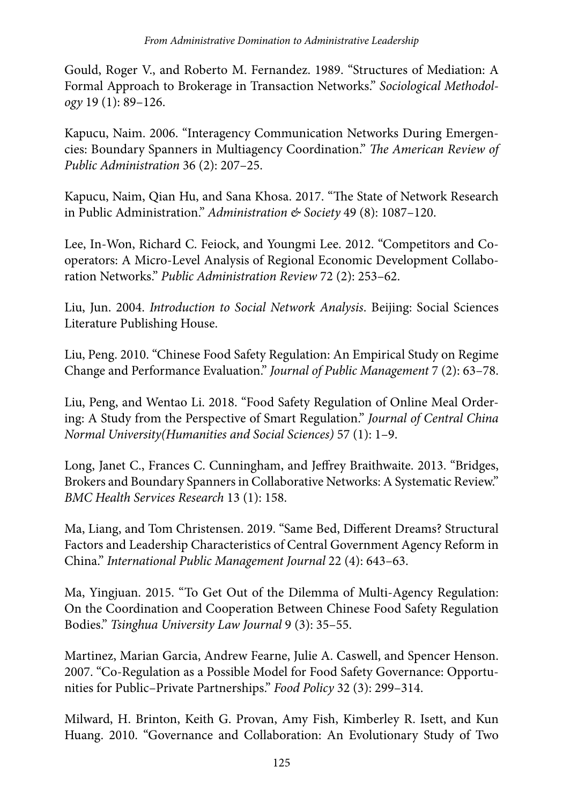Gould, Roger V., and Roberto M. Fernandez. 1989. "Structures of Mediation: A Formal Approach to Brokerage in Transaction Networks." *Sociological Methodology* 19 (1): 89–126.

Kapucu, Naim. 2006. "Interagency Communication Networks During Emergencies: Boundary Spanners in Multiagency Coordination." *The American Review of Public Administration* 36 (2): 207–25.

Kapucu, Naim, Qian Hu, and Sana Khosa. 2017. "The State of Network Research in Public Administration." *Administration & Society* 49 (8): 1087–120.

Lee, In-Won, Richard C. Feiock, and Youngmi Lee. 2012. "Competitors and Cooperators: A Micro-Level Analysis of Regional Economic Development Collaboration Networks." *Public Administration Review* 72 (2): 253–62.

Liu, Jun. 2004. *Introduction to Social Network Analysis*. Beijing: Social Sciences Literature Publishing House.

Liu, Peng. 2010. "Chinese Food Safety Regulation: An Empirical Study on Regime Change and Performance Evaluation." *Journal of Public Management* 7 (2): 63–78.

Liu, Peng, and Wentao Li. 2018. "Food Safety Regulation of Online Meal Ordering: A Study from the Perspective of Smart Regulation." *Journal of Central China Normal University(Humanities and Social Sciences)* 57 (1): 1–9.

Long, Janet C., Frances C. Cunningham, and Jeffrey Braithwaite. 2013. "Bridges, Brokers and Boundary Spanners in Collaborative Networks: A Systematic Review." *BMC Health Services Research* 13 (1): 158.

Ma, Liang, and Tom Christensen. 2019. "Same Bed, Different Dreams? Structural Factors and Leadership Characteristics of Central Government Agency Reform in China." *International Public Management Journal* 22 (4): 643–63.

Ma, Yingjuan. 2015. "To Get Out of the Dilemma of Multi-Agency Regulation: On the Coordination and Cooperation Between Chinese Food Safety Regulation Bodies." *Tsinghua University Law Journal* 9 (3): 35–55.

Martinez, Marian Garcia, Andrew Fearne, Julie A. Caswell, and Spencer Henson. 2007. "Co-Regulation as a Possible Model for Food Safety Governance: Opportunities for Public–Private Partnerships." *Food Policy* 32 (3): 299–314.

Milward, H. Brinton, Keith G. Provan, Amy Fish, Kimberley R. Isett, and Kun Huang. 2010. "Governance and Collaboration: An Evolutionary Study of Two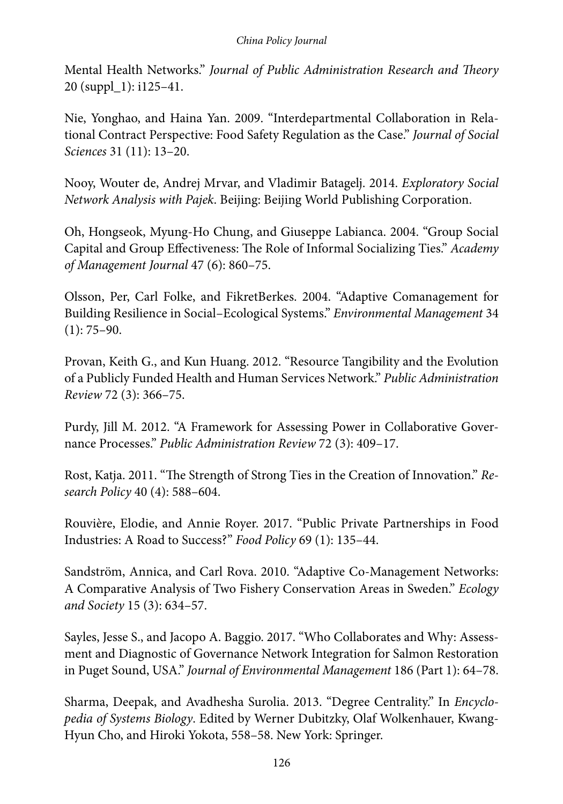Mental Health Networks." *Journal of Public Administration Research and Theory* 20 (suppl\_1): i125–41.

Nie, Yonghao, and Haina Yan. 2009. "Interdepartmental Collaboration in Relational Contract Perspective: Food Safety Regulation as the Case." *Journal of Social Sciences* 31 (11): 13–20.

Nooy, Wouter de, Andrej Mrvar, and Vladimir Batagelj. 2014. *Exploratory Social Network Analysis with Pajek*. Beijing: Beijing World Publishing Corporation.

Oh, Hongseok, Myung-Ho Chung, and Giuseppe Labianca. 2004. "Group Social Capital and Group Effectiveness: The Role of Informal Socializing Ties." *Academy of Management Journal* 47 (6): 860–75.

Olsson, Per, Carl Folke, and FikretBerkes. 2004. "Adaptive Comanagement for Building Resilience in Social–Ecological Systems." *Environmental Management* 34  $(1): 75-90.$ 

Provan, Keith G., and Kun Huang. 2012. "Resource Tangibility and the Evolution of a Publicly Funded Health and Human Services Network." *Public Administration Review* 72 (3): 366–75.

Purdy, Jill M. 2012. "A Framework for Assessing Power in Collaborative Governance Processes." *Public Administration Review* 72 (3): 409–17.

Rost, Katja. 2011. "The Strength of Strong Ties in the Creation of Innovation." *Research Policy* 40 (4): 588–604.

Rouvière, Elodie, and Annie Royer. 2017. "Public Private Partnerships in Food Industries: A Road to Success?" *Food Policy* 69 (1): 135–44.

Sandström, Annica, and Carl Rova. 2010. "Adaptive Co-Management Networks: A Comparative Analysis of Two Fishery Conservation Areas in Sweden." *Ecology and Society* 15 (3): 634–57.

Sayles, Jesse S., and Jacopo A. Baggio. 2017. "Who Collaborates and Why: Assessment and Diagnostic of Governance Network Integration for Salmon Restoration in Puget Sound, USA." *Journal of Environmental Management* 186 (Part 1): 64–78.

Sharma, Deepak, and Avadhesha Surolia. 2013. "Degree Centrality." In *Encyclopedia of Systems Biology*. Edited by Werner Dubitzky, Olaf Wolkenhauer, Kwang-Hyun Cho, and Hiroki Yokota, 558–58. New York: Springer.